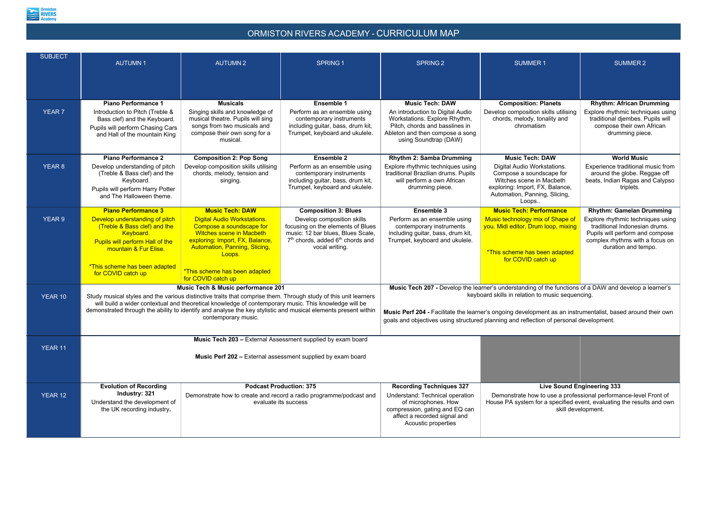

## ORMISTON RIVERS ACADEMY - CURRICULUM MAP

| <b>SUBJECT</b> | <b>AUTUMN1</b>                                                                                                                                                                                                                                                                                                                                                                                                     | <b>AUTUMN2</b>                                                                                                                                                                                                   | <b>SPRING 1</b>                                                                                                                                                                    | <b>SPRING 2</b>                                                                                                                                                                                                                                                                                                                                                     | <b>SUMMER1</b>                                                                                                                                                   | <b>SUMMER 2</b>                                                                                                                                                 |
|----------------|--------------------------------------------------------------------------------------------------------------------------------------------------------------------------------------------------------------------------------------------------------------------------------------------------------------------------------------------------------------------------------------------------------------------|------------------------------------------------------------------------------------------------------------------------------------------------------------------------------------------------------------------|------------------------------------------------------------------------------------------------------------------------------------------------------------------------------------|---------------------------------------------------------------------------------------------------------------------------------------------------------------------------------------------------------------------------------------------------------------------------------------------------------------------------------------------------------------------|------------------------------------------------------------------------------------------------------------------------------------------------------------------|-----------------------------------------------------------------------------------------------------------------------------------------------------------------|
|                | <b>Piano Performance 1</b>                                                                                                                                                                                                                                                                                                                                                                                         | <b>Musicals</b>                                                                                                                                                                                                  | <b>Ensemble 1</b>                                                                                                                                                                  | <b>Music Tech: DAW</b>                                                                                                                                                                                                                                                                                                                                              | <b>Composition: Planets</b>                                                                                                                                      | <b>Rhythm: African Drumming</b>                                                                                                                                 |
| YEAR 7         | Introduction to Pitch (Treble &<br>Bass clef) and the Keyboard.<br>Pupils will perform Chasing Cars<br>and Hall of the mountain King                                                                                                                                                                                                                                                                               | Singing skills and knowledge of<br>musical theatre. Pupils will sing<br>songs from two musicals and<br>compose their own song for a<br>musical.                                                                  | Perform as an ensemble using<br>contemporary instruments<br>including guitar, bass, drum kit,<br>Trumpet, keyboard and ukulele.                                                    | An introduction to Digital Audio<br>Workstations. Explore Rhythm,<br>Pitch, chords and basslines in<br>Ableton and then compose a song<br>using Soundtrap (DAW)                                                                                                                                                                                                     | Develop composition skills utilising<br>chords, melody, tonality and<br>chromatism                                                                               | Explore rhythmic techniques using<br>traditional djembes. Pupils will<br>compose their own African<br>drumming piece.                                           |
|                | <b>Piano Performance 2</b>                                                                                                                                                                                                                                                                                                                                                                                         | <b>Composition 2: Pop Song</b>                                                                                                                                                                                   | <b>Ensemble 2</b>                                                                                                                                                                  | <b>Rhythm 2: Samba Drumming</b>                                                                                                                                                                                                                                                                                                                                     | <b>Music Tech: DAW</b>                                                                                                                                           | <b>World Music</b>                                                                                                                                              |
| <b>YEAR 8</b>  | Develop understanding of pitch<br>(Treble & Bass clef) and the<br>Keyboard.<br>Pupils will perform Harry Potter<br>and The Halloween theme.                                                                                                                                                                                                                                                                        | Develop composition skills utilising<br>chords, melody, tension and<br>singing.                                                                                                                                  | Perform as an ensemble using<br>contemporary instruments<br>including guitar, bass, drum kit,<br>Trumpet, keyboard and ukulele.                                                    | Explore rhythmic techniques using<br>traditional Brazilian drums. Pupils<br>will perform a own African<br>drumming piece.                                                                                                                                                                                                                                           | Digital Audio Workstations.<br>Compose a soundscape for<br>Witches scene in Macbeth<br>exploring: Import, FX, Balance,<br>Automation, Panning, Slicing,<br>Loops | Experience traditional music from<br>around the globe. Reggae off<br>beats, Indian Ragas and Calypso<br>triplets.                                               |
|                | <b>Piano Performance 3</b>                                                                                                                                                                                                                                                                                                                                                                                         | <b>Music Tech: DAW</b>                                                                                                                                                                                           | <b>Composition 3: Blues</b>                                                                                                                                                        | <b>Ensemble 3</b>                                                                                                                                                                                                                                                                                                                                                   | <b>Music Tech: Performance</b>                                                                                                                                   | <b>Rhythm: Gamelan Drumming</b>                                                                                                                                 |
| <b>YEAR 9</b>  | Develop understanding of pitch<br>(Treble & Bass clef) and the<br>Keyboard.<br>Pupils will perform Hall of the<br>mountain & Fur Elise.<br>*This scheme has been adapted<br>for COVID catch up                                                                                                                                                                                                                     | <b>Digital Audio Workstations.</b><br>Compose a soundscape for<br><b>Witches scene in Macbeth</b><br>exploring: Import, FX, Balance,<br>Automation, Panning, Slicing,<br>Loops.<br>*This scheme has been adapted | Develop composition skills<br>focusing on the elements of Blues<br>music: 12 bar blues, Blues Scale,<br>7 <sup>th</sup> chords, added 6 <sup>th</sup> chords and<br>vocal writing. | Perform as an ensemble using<br>contemporary instruments<br>including guitar, bass, drum kit,<br>Trumpet, keyboard and ukulele.                                                                                                                                                                                                                                     | Music technology mix of Shape of<br>you. Midi editor, Drum loop, mixing<br>*This scheme has been adapted<br>for COVID catch up                                   | Explore rhythmic techniques using<br>traditional Indonesian drums.<br>Pupils will perform and compose<br>complex rhythms with a focus on<br>duration and tempo. |
|                |                                                                                                                                                                                                                                                                                                                                                                                                                    | for COVID catch up                                                                                                                                                                                               |                                                                                                                                                                                    |                                                                                                                                                                                                                                                                                                                                                                     |                                                                                                                                                                  |                                                                                                                                                                 |
| YEAR 10        | <b>Music Tech &amp; Music performance 201</b><br>Study musical styles and the various distinctive traits that comprise them. Through study of this unit learners<br>will build a wider contextual and theoretical knowledge of contemporary music. This knowledge will be<br>demonstrated through the ability to identify and analyse the key stylistic and musical elements present within<br>contemporary music. |                                                                                                                                                                                                                  |                                                                                                                                                                                    | Music Tech 207 - Develop the learner's understanding of the functions of a DAW and develop a learner's<br>keyboard skills in relation to music sequencing.<br>Music Perf 204 - Facilitate the learner's ongoing development as an instrumentalist, based around their own<br>goals and objectives using structured planning and reflection of personal development. |                                                                                                                                                                  |                                                                                                                                                                 |
|                |                                                                                                                                                                                                                                                                                                                                                                                                                    | Music Tech 203 - External Assessment supplied by exam board                                                                                                                                                      |                                                                                                                                                                                    |                                                                                                                                                                                                                                                                                                                                                                     |                                                                                                                                                                  |                                                                                                                                                                 |
| YEAR 11        | Music Perf 202 - External assessment supplied by exam board                                                                                                                                                                                                                                                                                                                                                        |                                                                                                                                                                                                                  |                                                                                                                                                                                    |                                                                                                                                                                                                                                                                                                                                                                     |                                                                                                                                                                  |                                                                                                                                                                 |
|                | <b>Evolution of Recording</b>                                                                                                                                                                                                                                                                                                                                                                                      | <b>Podcast Production: 375</b>                                                                                                                                                                                   |                                                                                                                                                                                    | <b>Recording Techniques 327</b>                                                                                                                                                                                                                                                                                                                                     | <b>Live Sound Engineering 333</b>                                                                                                                                |                                                                                                                                                                 |
| YEAR 12        | Industry: 321<br>Demonstrate how to create and record a radio programme/podcast and<br>Understand the development of<br>evaluate its success<br>the UK recording industry.                                                                                                                                                                                                                                         |                                                                                                                                                                                                                  |                                                                                                                                                                                    | Understand: Technical operation<br>of microphones. How<br>compression, gating and EQ can<br>affect a recorded signal and<br>Acoustic properties                                                                                                                                                                                                                     | Demonstrate how to use a professional performance-level Front of<br>House PA system for a specified event, evaluating the results and own<br>skill development.  |                                                                                                                                                                 |